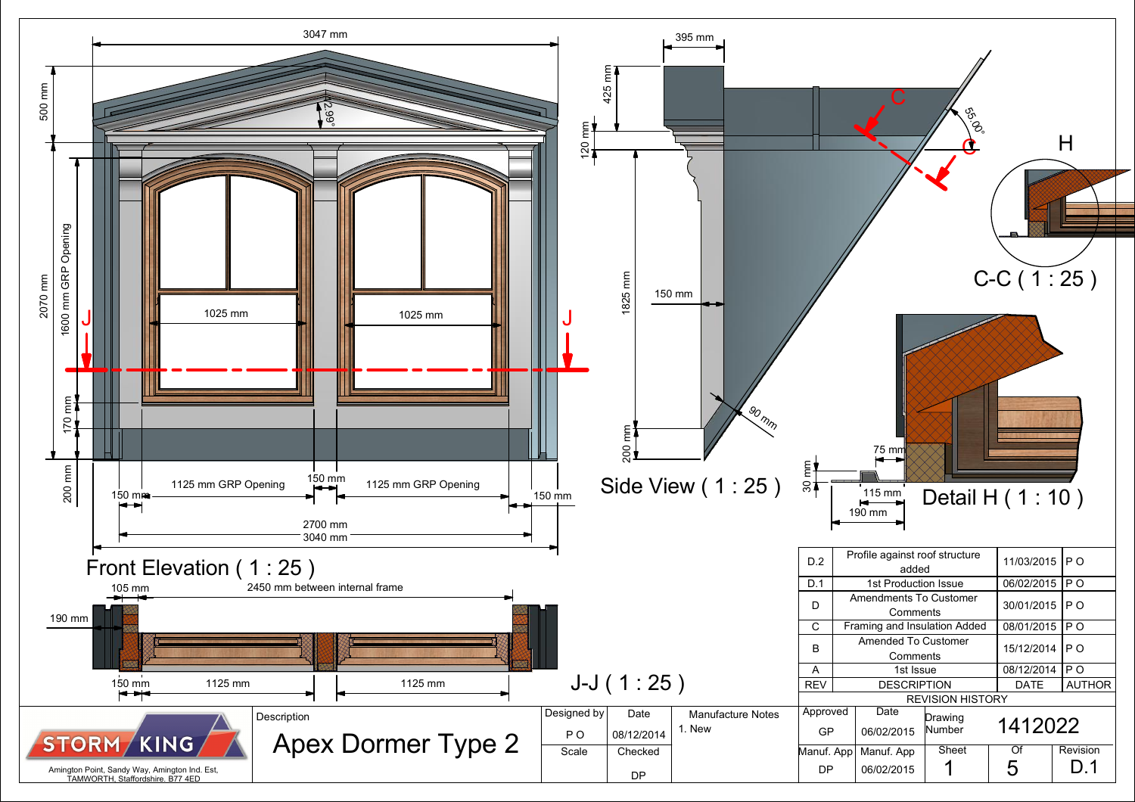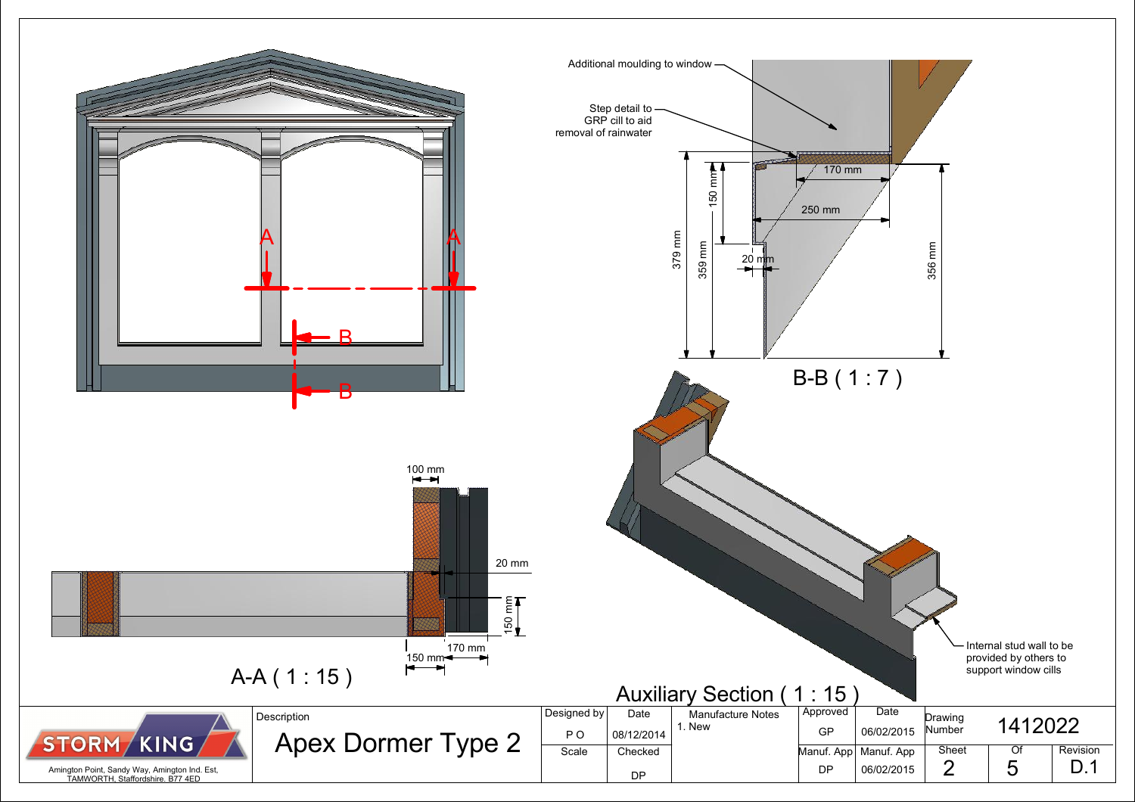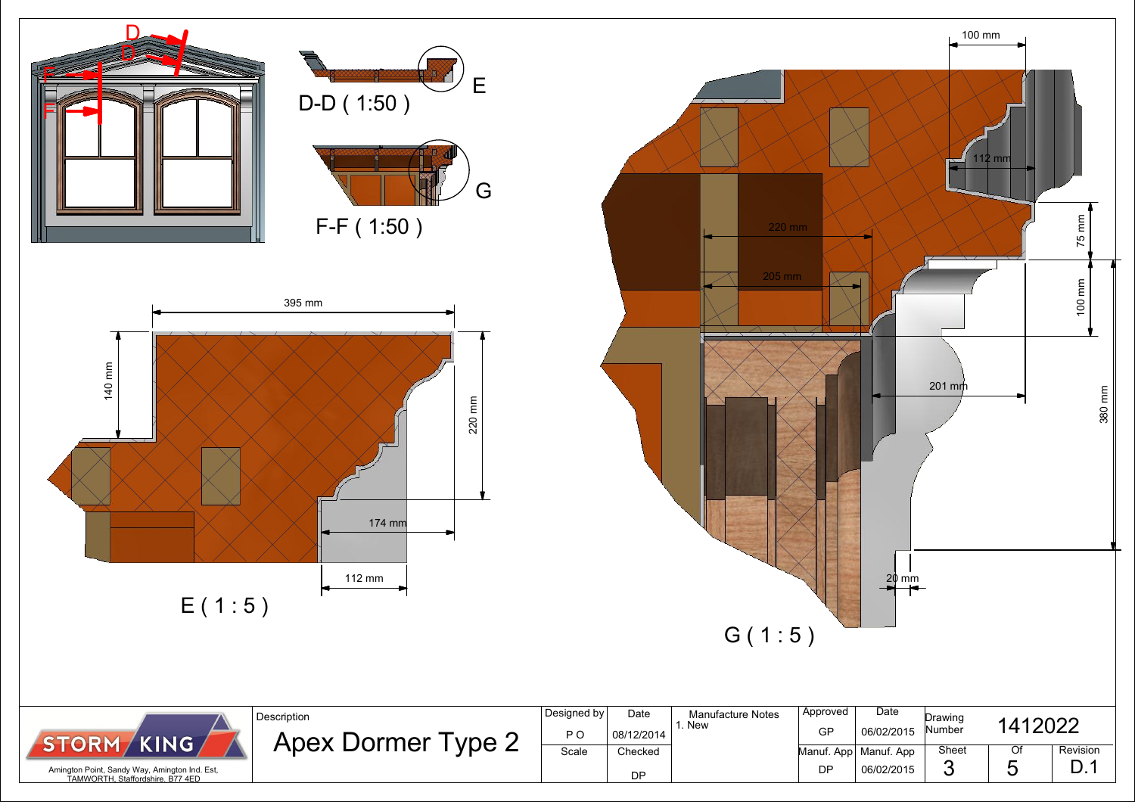

| <b>TORM / KING</b>                                                                |  |
|-----------------------------------------------------------------------------------|--|
| Amington Point, Sandy Way, Amington Ind. Est,<br>TAMWORTH, Staffordshire. B77 4ED |  |

| Designed by<br>P O | Date<br>08/12/2014 | <b>Manufacture Notes</b><br>. New | Approved<br>GP | Date<br>06/02/2015      | Drawing<br>Number | 1412022 |          |
|--------------------|--------------------|-----------------------------------|----------------|-------------------------|-------------------|---------|----------|
| Scale              | Checked            |                                   |                | Manuf. App   Manuf. App | Sheet             | Of      | Revision |
|                    | DΡ                 |                                   | DP             | 06/02/2015              | σ                 | ື       |          |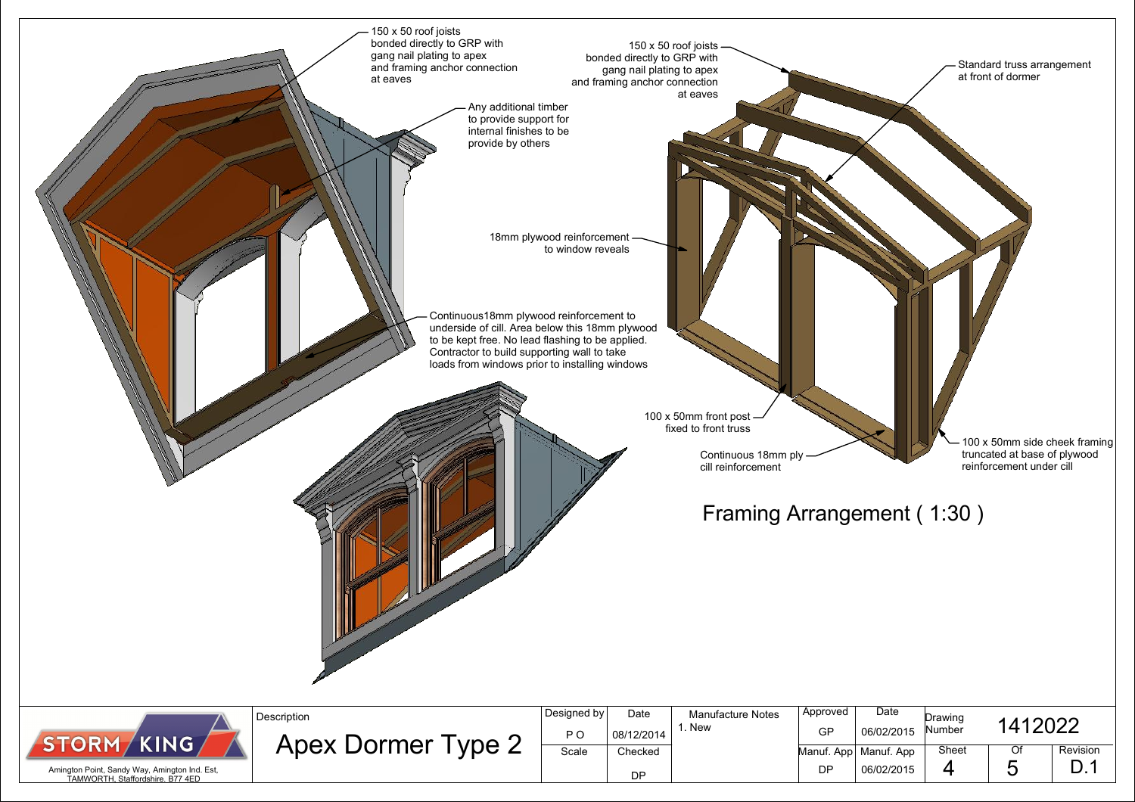